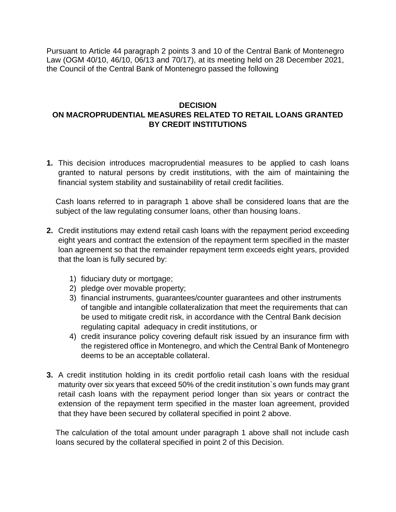Pursuant to Article 44 paragraph 2 points 3 and 10 of the Central Bank of Montenegro Law (OGM 40/10, 46/10, 06/13 and 70/17), at its meeting held on 28 December 2021, the Council of the Central Bank of Montenegro passed the following

## **DECISION ON MACROPRUDENTIAL MEASURES RELATED TO RETAIL LOANS GRANTED BY CREDIT INSTITUTIONS**

**1.** This decision introduces macroprudential measures to be applied to cash loans granted to natural persons by credit institutions, with the aim of maintaining the financial system stability and sustainability of retail credit facilities.

Cash loans referred to in paragraph 1 above shall be considered loans that are the subject of the law regulating consumer loans, other than housing loans.

- **2.** Credit institutions may extend retail cash loans with the repayment period exceeding eight years and contract the extension of the repayment term specified in the master loan agreement so that the remainder repayment term exceeds eight years, provided that the loan is fully secured by:
	- 1) fiduciary duty or mortgage;
	- 2) pledge over movable property;
	- 3) financial instruments, guarantees/counter guarantees and other instruments of tangible and intangible collateralization that meet the requirements that can be used to mitigate credit risk, in accordance with the Central Bank decision regulating capital adequacy in credit institutions, or
	- 4) credit insurance policy covering default risk issued by an insurance firm with the registered office in Montenegro, and which the Central Bank of Montenegro deems to be an acceptable collateral.
- **3.** A credit institution holding in its credit portfolio retail cash loans with the residual maturity over six years that exceed 50% of the credit institution`s own funds may grant retail cash loans with the repayment period longer than six years or contract the extension of the repayment term specified in the master loan agreement, provided that they have been secured by collateral specified in point 2 above.

The calculation of the total amount under paragraph 1 above shall not include cash loans secured by the collateral specified in point 2 of this Decision.